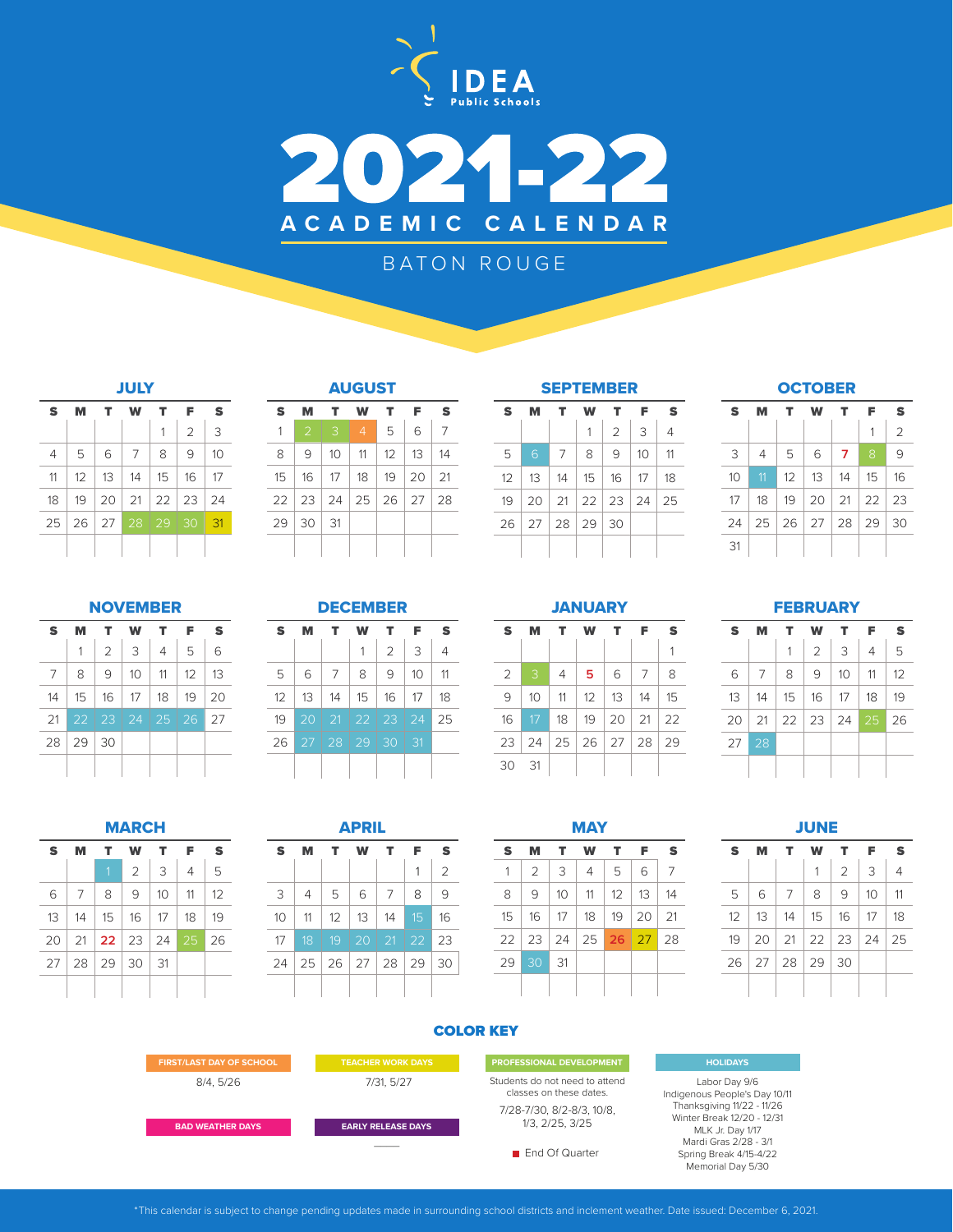



# BATON ROUGE

| JULY           |    |             |    |    |                |    |  |  |
|----------------|----|-------------|----|----|----------------|----|--|--|
| S              | м  | т           | w  | т  | F              | S  |  |  |
|                |    |             |    | 1  | $\overline{2}$ | 3  |  |  |
| $\overline{4}$ | 5  | 6           | 7  | 8  | 9              | 10 |  |  |
| 11             | 12 | 13          | 14 | 15 | 16             | 17 |  |  |
| 18             | 19 | 20          | 21 | 22 | 23             | 24 |  |  |
| 25             | 26 | $\sqrt{27}$ | 28 | 29 | 30             | 31 |  |  |
|                |    |             |    |    |                |    |  |  |

| S               |               | т          |                                  |    | F               | S  |
|-----------------|---------------|------------|----------------------------------|----|-----------------|----|
| 1               | $\mathcal{P}$ | 3          | $\overline{4}$                   | 5  | 6               | 7  |
| 8               | 9             | $10-10$    | 11                               | 12 | 13 <sup>1</sup> | 14 |
| 15              |               |            | $16$   17   18   19   20   21    |    |                 |    |
|                 |               |            | 22   23   24   25   26   27   28 |    |                 |    |
| 29 <sub>1</sub> | 30            | $\vert$ 31 |                                  |    |                 |    |
|                 |               |            |                                  |    |                 |    |

| т  | Е            | S  | S  | M  |   |
|----|--------------|----|----|----|---|
| 5  | 6            | 7  |    |    |   |
| 12 | 13           | 14 | 5  | 6  |   |
| 19 | 20           | 21 | 12 | 13 |   |
|    | $26 \mid 27$ | 28 | 19 | 20 |   |
|    |              |    | 26 | 27 | j |
|    |              |    |    |    |   |

| <b>SEPTEMBER</b> |    |                  |    |                   |            |    |  |  |  |
|------------------|----|------------------|----|-------------------|------------|----|--|--|--|
| S                | M  | т<br>F<br>т<br>w |    |                   |            |    |  |  |  |
|                  |    |                  | 1  | $\overline{2}$    | 3          | 4  |  |  |  |
| 5                | 6  | 7                | 8  | 9                 | 10         | 11 |  |  |  |
| 12               | 13 | 14               | 15 | 16                | $\vert$ 17 | 18 |  |  |  |
| 19               | 20 | 21               |    | 22   23   24   25 |            |    |  |  |  |
| 26               |    | 27 28 29         |    | 30                |            |    |  |  |  |
|                  |    |                  |    |                   |            |    |  |  |  |

**OCTOBER** 

| S  | м              | т.                | w                         | т  | F            | S              |
|----|----------------|-------------------|---------------------------|----|--------------|----------------|
|    |                |                   |                           |    | 1            | $\overline{2}$ |
| 3  | $\overline{4}$ | 5                 | 6                         | 7  | 8            | 9              |
| 10 | 11             | $12 \overline{ }$ | 13                        | 14 | 15           | 16             |
| 17 | 18             |                   | $19$   20   21   22   23  |    |              |                |
| 24 |                |                   | $25 \mid 26 \mid 27 \mid$ |    | $28 \mid 29$ | 30             |
| 31 |                |                   |                           |    |              |                |

## NOVEMBER

| S  | м            | т              | W         | т              | F  | S  |
|----|--------------|----------------|-----------|----------------|----|----|
|    | 1            | $\overline{2}$ | 3         | $\overline{4}$ | 5  | 6  |
| 7  | 8            | 9              | 10        | 11             | 12 | 13 |
| 14 | 15           | 16             | 17        | 18             | 19 | 20 |
| 21 | $22 \mid 23$ |                | $\mid$ 24 | $\vert$ 25     | 26 | 27 |
| 28 | 29           | 30             |           |                |    |    |
|    |              |                |           |                |    |    |

|  | $ C$ EM $F$ |     |
|--|-------------|-----|
|  | СЕМБЕ       | . . |

| S        | м           | т          | w     | т              | F  | S              |
|----------|-------------|------------|-------|----------------|----|----------------|
|          |             |            | 1     | $\overline{2}$ | 3  | $\overline{4}$ |
| 5        | 6           | 7          | 8     | 9              | 10 | 11             |
| $12^{1}$ | 13          | 14         | 15    | 16             | 17 | 18             |
| 19       | 20          | 21         |       | 22   23   24   |    | 25             |
| 26       | $\sqrt{27}$ | $\vert$ 28 | 29 30 |                | 31 |                |
|          |             |            |       |                |    |                |

## **JANUARY**

| S            | м  | т  | w               | т            | F                                 | S              |
|--------------|----|----|-----------------|--------------|-----------------------------------|----------------|
|              |    |    |                 |              |                                   | 1              |
| 2            | 3  | 4  | 5               | 6            | 7                                 | 8              |
| 9            | 10 | 11 | 12 <sup>1</sup> | 13           | 14                                | 15             |
| 16           | 17 | 18 | 19              | $20 \mid 21$ |                                   | $\frac{22}{2}$ |
| $23 \mid 24$ |    |    |                 |              | $25 \mid 26 \mid 27 \mid 28 \mid$ | 29             |
| 30           | 31 |    |                 |              |                                   |                |

### **FEBRUARY**

| S  |    | T. | w              | т                            | F  | S  |
|----|----|----|----------------|------------------------------|----|----|
|    |    | 1  | $\overline{2}$ | 3                            | 4  | 5  |
| 6  | 7  | 8  | 9              | 10                           | 11 | 12 |
| 13 | 14 | 15 | $\vert$ 16     | 17                           | 18 | 19 |
| 20 | 21 |    |                | $22 \mid 23 \mid 24 \mid 25$ |    | 26 |
| 27 | 28 |    |                |                              |    |    |
|    |    |    |                |                              |    |    |

JUNE

| <b>MARCH</b> |    |            |                      |    |    |    |  |  |
|--------------|----|------------|----------------------|----|----|----|--|--|
| S            | м  | т          | w                    | т  | F  | S  |  |  |
|              |    | 1          | $\overline{2}$       | 3  | 4  | 5  |  |  |
| 6            | 7  | 8          | 9                    | 10 | 11 | 12 |  |  |
| 13           | 14 | 15         | 16                   | 17 | 18 | 19 |  |  |
| 20           | 21 |            | $22 \mid 23 \mid 24$ |    | 25 | 26 |  |  |
| 27           | 28 | $\vert$ 29 | 30                   | 31 |    |    |  |  |
|              |    |            |                      |    |    |    |  |  |

| <b>APRIL</b> |                |                                      |    |    |    |                |  |  |  |
|--------------|----------------|--------------------------------------|----|----|----|----------------|--|--|--|
| S            | т<br>W<br>м    |                                      |    | т  | F  | S              |  |  |  |
|              |                |                                      |    |    | 1  | $\overline{2}$ |  |  |  |
| 3            | $\overline{4}$ | 5                                    | 6  | 7  | 8  | 9              |  |  |  |
| 10           | 11             | 12                                   | 13 | 14 | 15 | 16             |  |  |  |
| 17           | 18             | 19                                   | 20 | 21 | 22 | 23             |  |  |  |
| 24           |                | $25 \mid 26 \mid 27 \mid 28 \mid 29$ |    |    |    | 30             |  |  |  |
|              |                |                                      |    |    |    |                |  |  |  |

| <b>MAY</b> |                |    |    |    |              |    |  |  |  |
|------------|----------------|----|----|----|--------------|----|--|--|--|
| S          | M              | т  | W  | т  | F            | S  |  |  |  |
| 1          | $\overline{2}$ | 3  | 4  | 5  | 6            | 7  |  |  |  |
| 8          | 9              | 10 | 11 | 12 | 13           | 14 |  |  |  |
| 15         | 16             | 17 | 18 | 19 | 20           | 21 |  |  |  |
| 22         | 23             | 24 | 25 |    | $26 \mid 27$ | 28 |  |  |  |
| 29         | 30             | 31 |    |    |              |    |  |  |  |
|            |                |    |    |    |              |    |  |  |  |

| <b>S</b> | S | м | т.                                                   | W T F       |                          | S  |
|----------|---|---|------------------------------------------------------|-------------|--------------------------|----|
| -7       |   |   |                                                      |             | $1 \mid 2 \mid 3 \mid 4$ |    |
| 14       | 5 |   | $6 \mid 7 \mid 8$                                    | $9 \mid 10$ |                          | 11 |
| 21       |   |   | $12 \mid 13 \mid 14 \mid 15 \mid 16 \mid 17 \mid 18$ |             |                          |    |
| 28       |   |   | $19 \mid 20 \mid 21 \mid 22 \mid 23 \mid 24 \mid 25$ |             |                          |    |
|          |   |   | 26   27   28   29   30                               |             |                          |    |

## COLOR KEY

**FIRST/LAST DAY OF SCHOOL <b>TEACHER WORK DAYS** PROFESSIONAL DEVELOPMENT

**BAD WEATHER DAYS**

8/4, 5/26 7/31, 5/27

 $\overline{\phantom{a}}$ 

**EARLY RELEASE DAYS**

7/28-7/30, 8/2-8/3, 10/8, 1/3, 2/25, 3/25 Students do not need to attend classes on these dates.

**End Of Quarter** 

#### **HOLIDAYS**

Labor Day 9/6 Indigenous People's Day 10/11 Thanksgiving 11/22 - 11/26 Winter Break 12/20 - 12/31 MLK Jr. Day 1/17 Mardi Gras 2/28 - 3/1 Spring Break 4/15-4/22 Memorial Day 5/30

\*This calendar is subject to change pending updates made in surrounding school districts and inclement weather. Date issued: December 6, 2021.